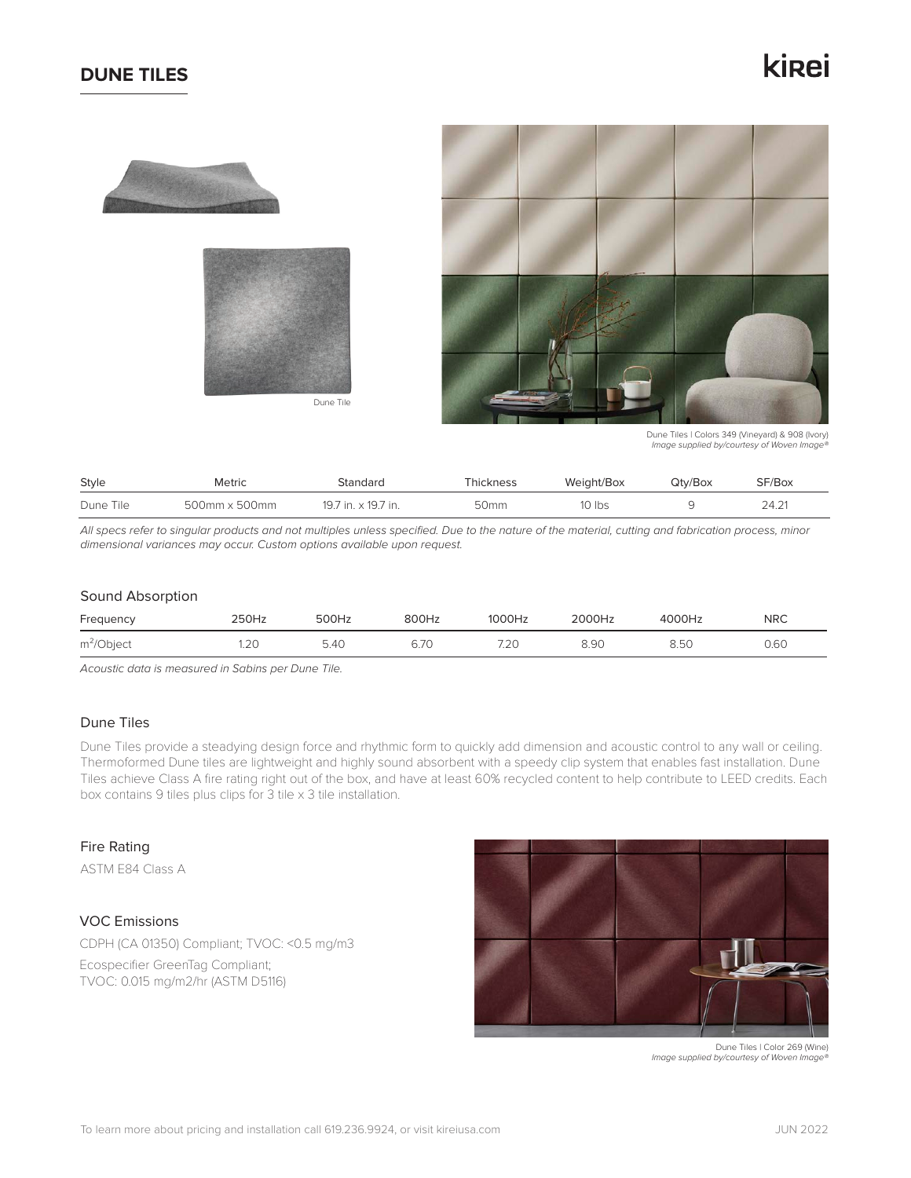## **DUNE TILES**

## kirei









Dune Tiles | Colors 349 (Vineyard) & 908 (Ivory) *Image supplied by/courtesy of Woven Image®*

| Style     | <b>Metric</b> | Standard            | Thickness        | Weight/Box | Qtv/Box | SF/Box |
|-----------|---------------|---------------------|------------------|------------|---------|--------|
| Dune Tile | 500mm x 500mm | 19.7 in. x 19.7 in. | 50 <sub>mm</sub> | 10 Ibs     |         | 24.21  |

*All specs refer to singular products and not multiples unless specified. Due to the nature of the material, cutting and fabrication process, minor dimensional variances may occur. Custom options available upon request.*

#### Sound Absorption

| Frequency    | ?50Hz | 500Hz | 800Hz | 1000Hz | <b>2000Hz</b> | 4000Hz | <b>NRC</b> |
|--------------|-------|-------|-------|--------|---------------|--------|------------|
| $m^2$ Object |       | i.40  | 6.70  | 7.20   | 8.90          | 8.50   | 0.60       |

*Acoustic data is measured in Sabins per Dune Tile.*

## Dune Tiles

Dune Tiles provide a steadying design force and rhythmic form to quickly add dimension and acoustic control to any wall or ceiling. Thermoformed Dune tiles are lightweight and highly sound absorbent with a speedy clip system that enables fast installation. Dune Tiles achieve Class A fire rating right out of the box, and have at least 60% recycled content to help contribute to LEED credits. Each box contains 9 tiles plus clips for 3 tile x 3 tile installation.

#### Fire Rating

ASTM E84 Class A

## VOC Emissions

CDPH (CA 01350) Compliant; TVOC: <0.5 mg/m3

Ecospecifier GreenTag Compliant; TVOC: 0.015 mg/m2/hr (ASTM D5116)



 Dune Tiles | Color 269 (Wine) *Image supplied by/courtesy of Woven Image®*